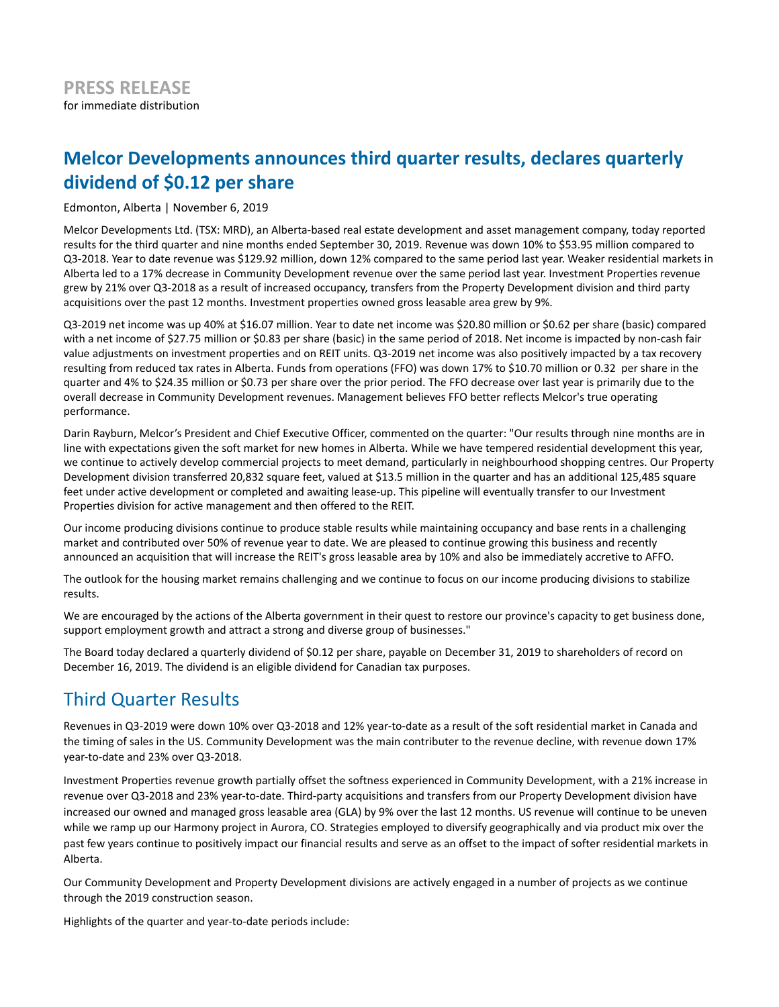# **Melcor Developments announces third quarter results, declares quarterly dividend of \$0.12 per share**

Edmonton, Alberta | November 6, 2019

Melcor Developments Ltd. (TSX: MRD), an Alberta-based real estate development and asset management company, today reported results for the third quarter and nine months ended September 30, 2019. Revenue was down 10% to \$53.95 million compared to Q3-2018. Year to date revenue was \$129.92 million, down 12% compared to the same period last year. Weaker residential markets in Alberta led to a 17% decrease in Community Development revenue over the same period last year. Investment Properties revenue grew by 21% over Q3-2018 as a result of increased occupancy, transfers from the Property Development division and third party acquisitions over the past 12 months. Investment properties owned gross leasable area grew by 9%.

Q3-2019 net income was up 40% at \$16.07 million. Year to date net income was \$20.80 million or \$0.62 per share (basic) compared with a net income of \$27.75 million or \$0.83 per share (basic) in the same period of 2018. Net income is impacted by non-cash fair value adjustments on investment properties and on REIT units. Q3-2019 net income was also positively impacted by a tax recovery resulting from reduced tax rates in Alberta. Funds from operations (FFO) was down 17% to \$10.70 million or 0.32 per share in the quarter and 4% to \$24.35 million or \$0.73 per share over the prior period. The FFO decrease over last year is primarily due to the overall decrease in Community Development revenues. Management believes FFO better reflects Melcor's true operating performance.

Darin Rayburn, Melcor's President and Chief Executive Officer, commented on the quarter: "Our results through nine months are in line with expectations given the soft market for new homes in Alberta. While we have tempered residential development this year, we continue to actively develop commercial projects to meet demand, particularly in neighbourhood shopping centres. Our Property Development division transferred 20,832 square feet, valued at \$13.5 million in the quarter and has an additional 125,485 square feet under active development or completed and awaiting lease-up. This pipeline will eventually transfer to our Investment Properties division for active management and then offered to the REIT.

Our income producing divisions continue to produce stable results while maintaining occupancy and base rents in a challenging market and contributed over 50% of revenue year to date. We are pleased to continue growing this business and recently announced an acquisition that will increase the REIT's gross leasable area by 10% and also be immediately accretive to AFFO.

The outlook for the housing market remains challenging and we continue to focus on our income producing divisions to stabilize results.

We are encouraged by the actions of the Alberta government in their quest to restore our province's capacity to get business done, support employment growth and attract a strong and diverse group of businesses."

The Board today declared a quarterly dividend of \$0.12 per share, payable on December 31, 2019 to shareholders of record on December 16, 2019. The dividend is an eligible dividend for Canadian tax purposes.

# Third Quarter Results

Revenues in Q3-2019 were down 10% over Q3-2018 and 12% year-to-date as a result of the soft residential market in Canada and the timing of sales in the US. Community Development was the main contributer to the revenue decline, with revenue down 17% year-to-date and 23% over Q3-2018.

Investment Properties revenue growth partially offset the softness experienced in Community Development, with a 21% increase in revenue over Q3-2018 and 23% year-to-date. Third-party acquisitions and transfers from our Property Development division have increased our owned and managed gross leasable area (GLA) by 9% over the last 12 months. US revenue will continue to be uneven while we ramp up our Harmony project in Aurora, CO. Strategies employed to diversify geographically and via product mix over the past few years continue to positively impact our financial results and serve as an offset to the impact of softer residential markets in Alberta.

Our Community Development and Property Development divisions are actively engaged in a number of projects as we continue through the 2019 construction season.

Highlights of the quarter and year-to-date periods include: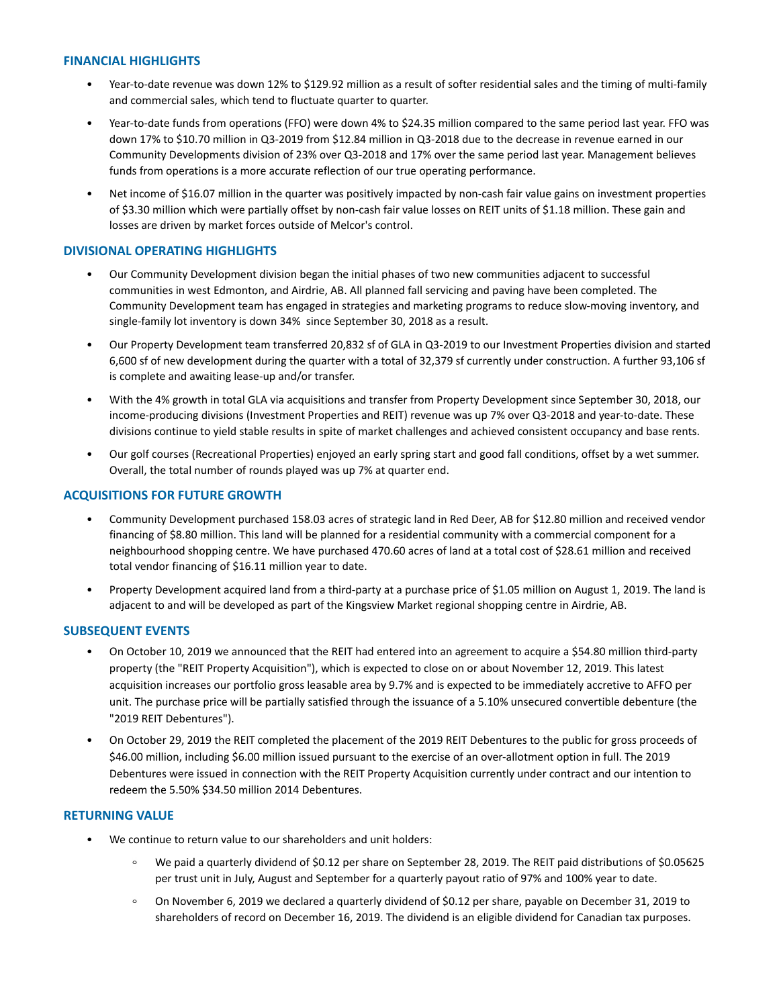### **FINANCIAL HIGHLIGHTS**

- Year-to-date revenue was down 12% to \$129.92 million as a result of softer residential sales and the timing of multi-family and commercial sales, which tend to fluctuate quarter to quarter.
- Year-to-date funds from operations (FFO) were down 4% to \$24.35 million compared to the same period last year. FFO was down 17% to \$10.70 million in Q3-2019 from \$12.84 million in Q3-2018 due to the decrease in revenue earned in our Community Developments division of 23% over Q3-2018 and 17% over the same period last year. Management believes funds from operations is a more accurate reflection of our true operating performance.
- Net income of \$16.07 million in the quarter was positively impacted by non-cash fair value gains on investment properties of \$3.30 million which were partially offset by non-cash fair value losses on REIT units of \$1.18 million. These gain and losses are driven by market forces outside of Melcor's control.

## **DIVISIONAL OPERATING HIGHLIGHTS**

- Our Community Development division began the initial phases of two new communities adjacent to successful communities in west Edmonton, and Airdrie, AB. All planned fall servicing and paving have been completed. The Community Development team has engaged in strategies and marketing programs to reduce slow-moving inventory, and single-family lot inventory is down 34% since September 30, 2018 as a result.
- Our Property Development team transferred 20,832 sf of GLA in Q3-2019 to our Investment Properties division and started 6,600 sf of new development during the quarter with a total of 32,379 sf currently under construction. A further 93,106 sf is complete and awaiting lease-up and/or transfer.
- With the 4% growth in total GLA via acquisitions and transfer from Property Development since September 30, 2018, our income-producing divisions (Investment Properties and REIT) revenue was up 7% over Q3-2018 and year-to-date. These divisions continue to yield stable results in spite of market challenges and achieved consistent occupancy and base rents.
- Our golf courses (Recreational Properties) enjoyed an early spring start and good fall conditions, offset by a wet summer. Overall, the total number of rounds played was up 7% at quarter end.

## **ACQUISITIONS FOR FUTURE GROWTH**

- Community Development purchased 158.03 acres of strategic land in Red Deer, AB for \$12.80 million and received vendor financing of \$8.80 million. This land will be planned for a residential community with a commercial component for a neighbourhood shopping centre. We have purchased 470.60 acres of land at a total cost of \$28.61 million and received total vendor financing of \$16.11 million year to date.
- Property Development acquired land from a third-party at a purchase price of \$1.05 million on August 1, 2019. The land is adjacent to and will be developed as part of the Kingsview Market regional shopping centre in Airdrie, AB.

### **SUBSEQUENT EVENTS**

- On October 10, 2019 we announced that the REIT had entered into an agreement to acquire a \$54.80 million third-party property (the "REIT Property Acquisition"), which is expected to close on or about November 12, 2019. This latest acquisition increases our portfolio gross leasable area by 9.7% and is expected to be immediately accretive to AFFO per unit. The purchase price will be partially satisfied through the issuance of a 5.10% unsecured convertible debenture (the "2019 REIT Debentures").
- On October 29, 2019 the REIT completed the placement of the 2019 REIT Debentures to the public for gross proceeds of \$46.00 million, including \$6.00 million issued pursuant to the exercise of an over-allotment option in full. The 2019 Debentures were issued in connection with the REIT Property Acquisition currently under contract and our intention to redeem the 5.50% \$34.50 million 2014 Debentures.

### **RETURNING VALUE**

- We continue to return value to our shareholders and unit holders:
	- $\circ$ We paid a quarterly dividend of \$0.12 per share on September 28, 2019. The REIT paid distributions of \$0.05625 per trust unit in July, August and September for a quarterly payout ratio of 97% and 100% year to date.
	- On November 6, 2019 we declared a quarterly dividend of \$0.12 per share, payable on December 31, 2019 to  $^\circ$ shareholders of record on December 16, 2019. The dividend is an eligible dividend for Canadian tax purposes.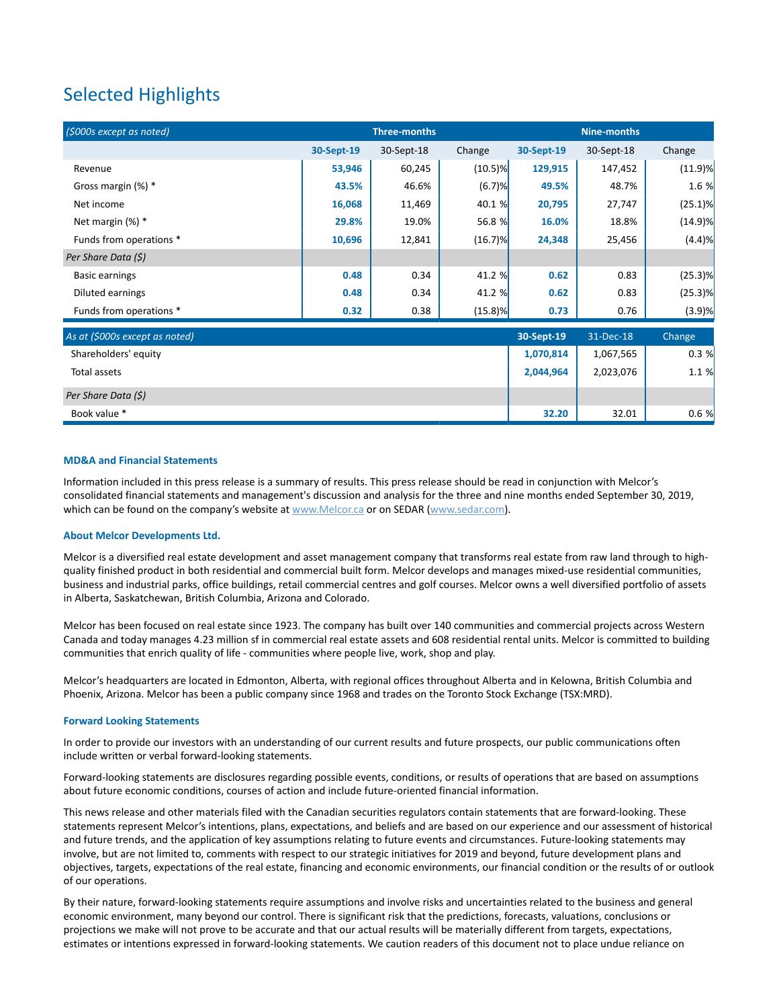# Selected Highlights

| (\$000s except as noted)       |            | <b>Three-months</b> |            |            | <b>Nine-months</b> |            |  |
|--------------------------------|------------|---------------------|------------|------------|--------------------|------------|--|
|                                | 30-Sept-19 | 30-Sept-18          | Change     | 30-Sept-19 | 30-Sept-18         | Change     |  |
| Revenue                        | 53,946     | 60,245              | $(10.5)$ % | 129,915    | 147,452            | $(11.9)$ % |  |
| Gross margin (%) *             | 43.5%      | 46.6%               | (6.7)%     | 49.5%      | 48.7%              | 1.6%       |  |
| Net income                     | 16,068     | 11,469              | 40.1 %     | 20,795     | 27,747             | $(25.1)\%$ |  |
| Net margin $(\%)$ *            | 29.8%      | 19.0%               | 56.8 %     | 16.0%      | 18.8%              | (14.9)%    |  |
| Funds from operations *        | 10,696     | 12,841              | $(16.7)\%$ | 24,348     | 25,456             | (4.4)%     |  |
| Per Share Data (\$)            |            |                     |            |            |                    |            |  |
| Basic earnings                 | 0.48       | 0.34                | 41.2 %     | 0.62       | 0.83               | $(25.3)$ % |  |
| Diluted earnings               | 0.48       | 0.34                | 41.2 %     | 0.62       | 0.83               | $(25.3)$ % |  |
| Funds from operations *        | 0.32       | 0.38                | (15.8)%    | 0.73       | 0.76               | $(3.9)$ %  |  |
| As at (\$000s except as noted) |            |                     |            | 30-Sept-19 | 31-Dec-18          | Change     |  |
| Shareholders' equity           |            |                     |            | 1,070,814  | 1,067,565          | 0.3%       |  |
| Total assets                   |            |                     |            | 2,044,964  | 2,023,076          | 1.1%       |  |
| Per Share Data (\$)            |            |                     |            |            |                    |            |  |
| Book value *                   |            |                     |            | 32.20      | 32.01              | 0.6%       |  |

#### **MD&A and Financial Statements**

Information included in this press release is a summary of results. This press release should be read in conjunction with Melcor's consolidated financial statements and management's discussion and analysis for the three and nine months ended September 30, 2019, which can be found on the company's website at www.Melcor.ca or on SEDAR (www.sedar.com).

#### **About Melcor Developments Ltd.**

Melcor is a diversified real estate development and asset management company that transforms real estate from raw land through to highquality finished product in both residential and commercial built form. Melcor develops and manages mixed-use residential communities, business and industrial parks, office buildings, retail commercial centres and golf courses. Melcor owns a well diversified portfolio of assets in Alberta, Saskatchewan, British Columbia, Arizona and Colorado.

Melcor has been focused on real estate since 1923. The company has built over 140 communities and commercial projects across Western Canada and today manages 4.23 million sf in commercial real estate assets and 608 residential rental units. Melcor is committed to building communities that enrich quality of life - communities where people live, work, shop and play.

Melcor's headquarters are located in Edmonton, Alberta, with regional offices throughout Alberta and in Kelowna, British Columbia and Phoenix, Arizona. Melcor has been a public company since 1968 and trades on the Toronto Stock Exchange (TSX:MRD).

#### **Forward Looking Statements**

In order to provide our investors with an understanding of our current results and future prospects, our public communications often include written or verbal forward-looking statements.

Forward-looking statements are disclosures regarding possible events, conditions, or results of operations that are based on assumptions about future economic conditions, courses of action and include future-oriented financial information.

This news release and other materials filed with the Canadian securities regulators contain statements that are forward-looking. These statements represent Melcor's intentions, plans, expectations, and beliefs and are based on our experience and our assessment of historical and future trends, and the application of key assumptions relating to future events and circumstances. Future-looking statements may involve, but are not limited to, comments with respect to our strategic initiatives for 2019 and beyond, future development plans and objectives, targets, expectations of the real estate, financing and economic environments, our financial condition or the results of or outlook of our operations.

By their nature, forward-looking statements require assumptions and involve risks and uncertainties related to the business and general economic environment, many beyond our control. There is significant risk that the predictions, forecasts, valuations, conclusions or projections we make will not prove to be accurate and that our actual results will be materially different from targets, expectations, estimates or intentions expressed in forward-looking statements. We caution readers of this document not to place undue reliance on